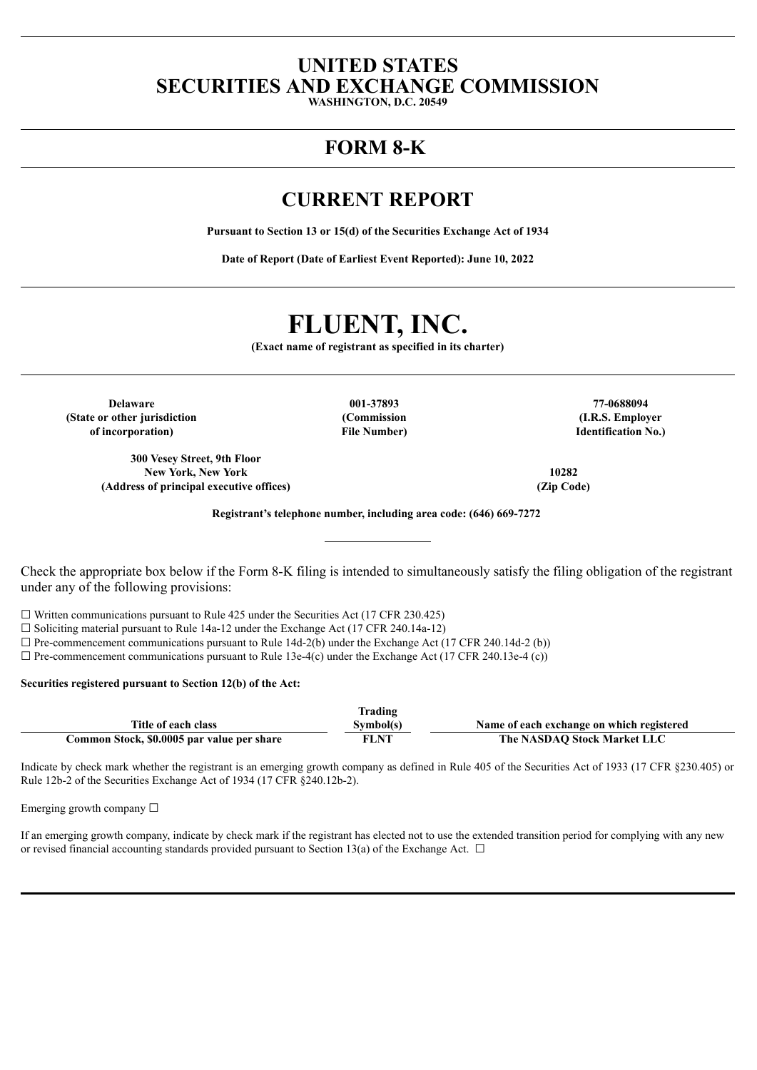# **UNITED STATES SECURITIES AND EXCHANGE COMMISSION**

**WASHINGTON, D.C. 20549**

# **FORM 8-K**

# **CURRENT REPORT**

**Pursuant to Section 13 or 15(d) of the Securities Exchange Act of 1934**

**Date of Report (Date of Earliest Event Reported): June 10, 2022**

# **FLUENT, INC.**

**(Exact name of registrant as specified in its charter)**

**Delaware 001-37893 77-0688094 (State or other jurisdiction of incorporation)**

**300 Vesey Street, 9th Floor New York, New York 10282 (Address of principal executive offices) (Zip Code)**

**(Commission File Number)**

**(I.R.S. Employer Identification No.)**

**Registrant's telephone number, including area code: (646) 669-7272**

Check the appropriate box below if the Form 8-K filing is intended to simultaneously satisfy the filing obligation of the registrant under any of the following provisions:

 $\Box$  Written communications pursuant to Rule 425 under the Securities Act (17 CFR 230.425)

☐ Soliciting material pursuant to Rule 14a-12 under the Exchange Act (17 CFR 240.14a-12)

 $\square$  Pre-commencement communications pursuant to Rule 14d-2(b) under the Exchange Act (17 CFR 240.14d-2 (b))

 $\Box$  Pre-commencement communications pursuant to Rule 13e-4(c) under the Exchange Act (17 CFR 240.13e-4 (c))

### **Securities registered pursuant to Section 12(b) of the Act:**

|                                            | Trading     |                                           |
|--------------------------------------------|-------------|-------------------------------------------|
| Title of each class                        | Svmbol(s)   | Name of each exchange on which registered |
| Common Stock, \$0.0005 par value per share | <b>FLNT</b> | The NASDAO Stock Market LLC               |

Indicate by check mark whether the registrant is an emerging growth company as defined in Rule 405 of the Securities Act of 1933 (17 CFR §230.405) or Rule 12b-2 of the Securities Exchange Act of 1934 (17 CFR §240.12b-2).

Emerging growth company  $\Box$ 

If an emerging growth company, indicate by check mark if the registrant has elected not to use the extended transition period for complying with any new or revised financial accounting standards provided pursuant to Section 13(a) of the Exchange Act.  $\Box$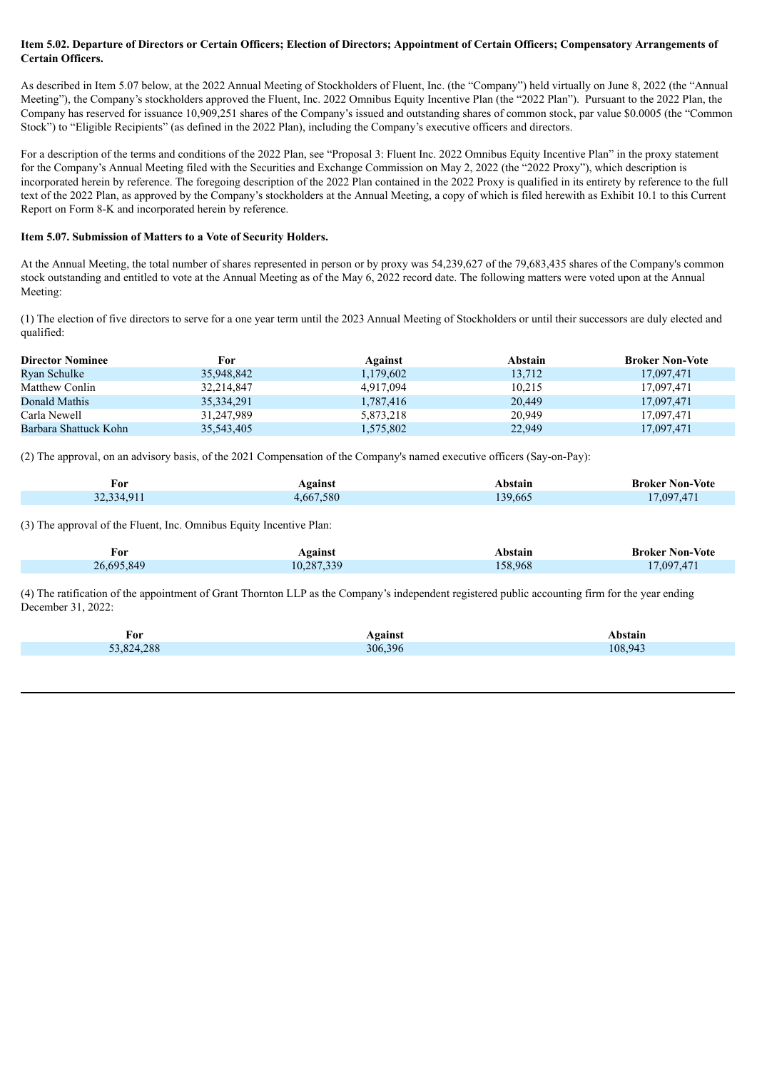# Item 5.02. Departure of Directors or Certain Officers; Election of Directors; Appointment of Certain Officers; Compensatory Arrangements of **Certain Officers.**

As described in Item 5.07 below, at the 2022 Annual Meeting of Stockholders of Fluent, Inc. (the "Company") held virtually on June 8, 2022 (the "Annual Meeting"), the Company's stockholders approved the Fluent, Inc. 2022 Omnibus Equity Incentive Plan (the "2022 Plan"). Pursuant to the 2022 Plan, the Company has reserved for issuance 10,909,251 shares of the Company's issued and outstanding shares of common stock, par value \$0.0005 (the "Common Stock") to "Eligible Recipients" (as defined in the 2022 Plan), including the Company's executive officers and directors.

For a description of the terms and conditions of the 2022 Plan, see "Proposal 3: Fluent Inc. 2022 Omnibus Equity Incentive Plan" in the proxy statement for the Company's Annual Meeting filed with the Securities and Exchange Commission on May 2, 2022 (the "2022 Proxy"), which description is incorporated herein by reference. The foregoing description of the 2022 Plan contained in the 2022 Proxy is qualified in its entirety by reference to the full text of the 2022 Plan, as approved by the Company's stockholders at the Annual Meeting, a copy of which is filed herewith as Exhibit 10.1 to this Current Report on Form 8-K and incorporated herein by reference.

# **Item 5.07. Submission of Matters to a Vote of Security Holders.**

At the Annual Meeting, the total number of shares represented in person or by proxy was 54,239,627 of the 79,683,435 shares of the Company's common stock outstanding and entitled to vote at the Annual Meeting as of the May 6, 2022 record date. The following matters were voted upon at the Annual Meeting:

(1) The election of five directors to serve for a one year term until the 2023 Annual Meeting of Stockholders or until their successors are duly elected and qualified:

| <b>Director Nominee</b> | For          | Against   | <b>Abstain</b> | <b>Broker Non-Vote</b> |
|-------------------------|--------------|-----------|----------------|------------------------|
| Ryan Schulke            | 35,948,842   | 1,179,602 | 13,712         | 17,097,471             |
| Matthew Conlin          | 32,214,847   | 4,917,094 | 10,215         | 17,097,471             |
| Donald Mathis           | 35, 334, 291 | 1,787,416 | 20,449         | 17,097,471             |
| Carla Newell            | 31,247,989   | 5,873,218 | 20,949         | 17,097,471             |
| Barbara Shattuck Kohn   | 35,543,405   | 1,575,802 | 22,949         | 17,097,471             |

(2) The approval, on an advisory basis, of the 2021 Compensation of the Company's named executive officers (Say-on-Pay):

| For        | Against   | Abstain | <b>Broker Non-Vote</b> |
|------------|-----------|---------|------------------------|
| 32,334,911 | 4,667,580 | 139,665 | 17,097,471             |

(3) The approval of the Fluent, Inc. Omnibus Equity Incentive Plan:

| <b>For</b> | Against    | Abstain | <b>Broker Non-Vote</b> |
|------------|------------|---------|------------------------|
| 26,695,849 | 10,287,339 | 158,968 | 17,097,471             |

(4) The ratification of the appointment of Grant Thornton LLP as the Company's independent registered public accounting firm for the year ending December 31, 2022:

| √or        | oainst  | `stan.  |
|------------|---------|---------|
| 288<br>821 | 306.396 | 108.943 |
|            |         |         |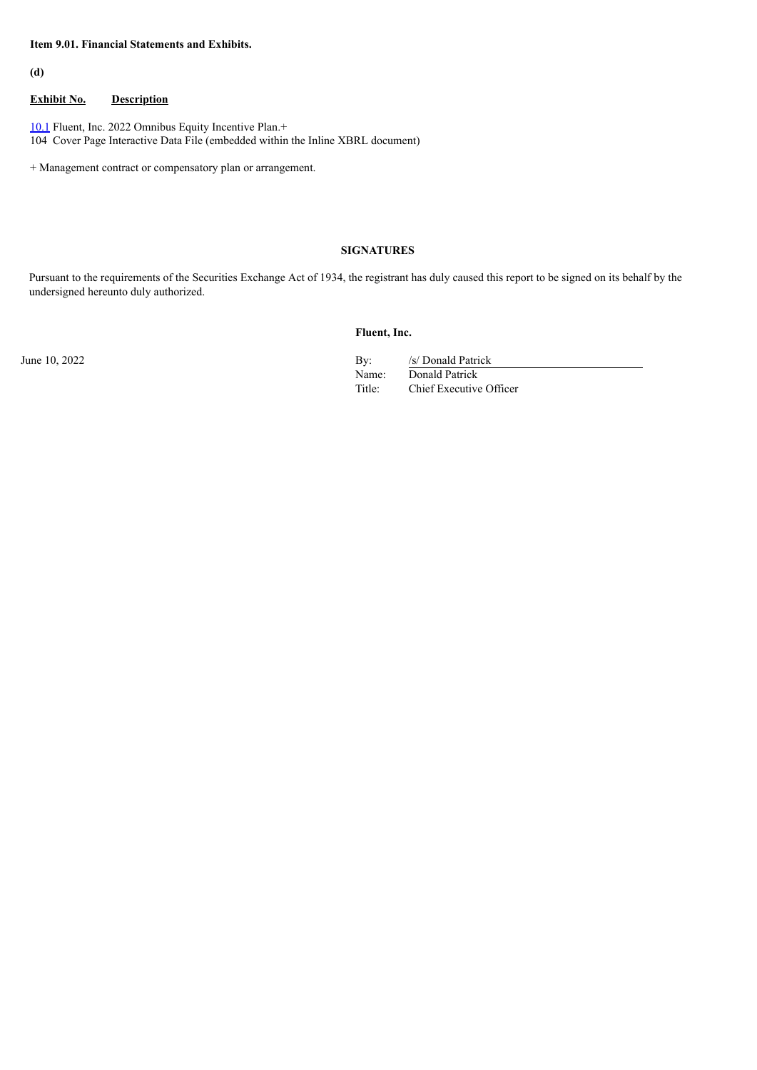# **Item 9.01. Financial Statements and Exhibits.**

**(d)**

# **Exhibit No. Description**

[10.1](#page-3-0) Fluent, Inc. 2022 Omnibus Equity Incentive Plan.+ 104 Cover Page Interactive Data File (embedded within the Inline XBRL document)

+ Management contract or compensatory plan or arrangement.

# **SIGNATURES**

Pursuant to the requirements of the Securities Exchange Act of 1934, the registrant has duly caused this report to be signed on its behalf by the undersigned hereunto duly authorized.

**Fluent, Inc.**

June 10, 2022 By: /s/ Donald Patrick Name: Donald Patrick Title: Chief Executive Officer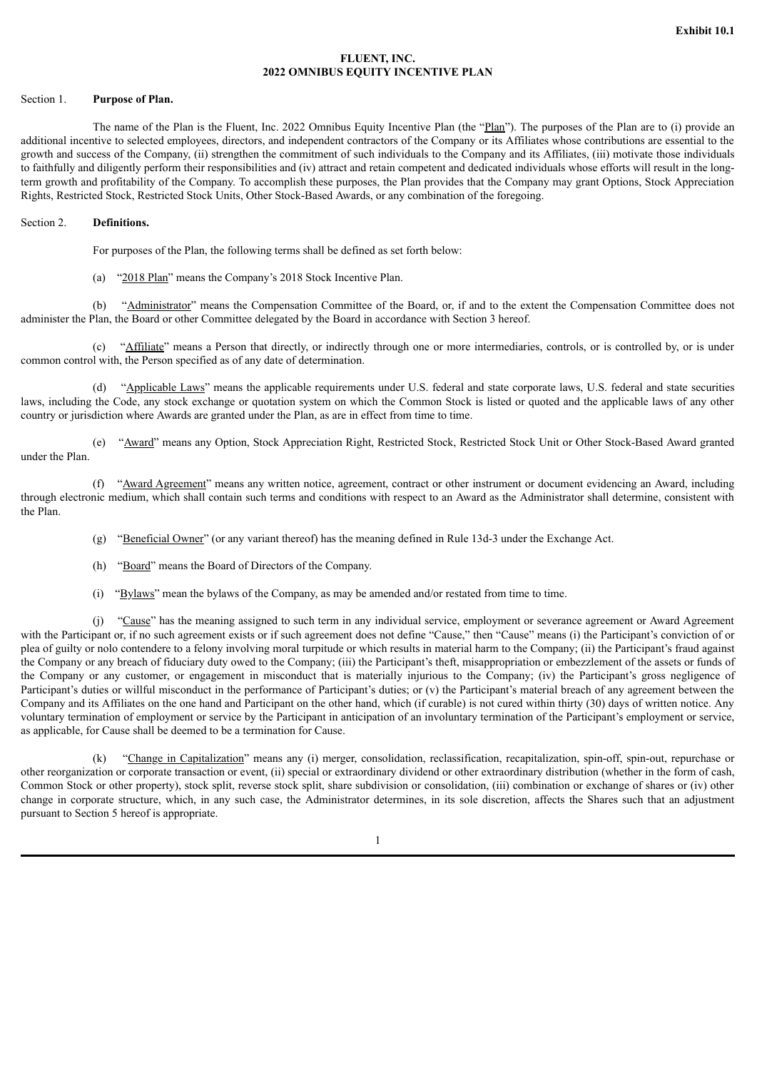# **FLUENT, INC. 2022 OMNIBUS EQUITY INCENTIVE PLAN**

#### <span id="page-3-0"></span>Section 1. **Purpose of Plan.**

The name of the Plan is the Fluent, Inc. 2022 Omnibus Equity Incentive Plan (the "Plan"). The purposes of the Plan are to (i) provide an additional incentive to selected employees, directors, and independent contractors of the Company or its Affiliates whose contributions are essential to the growth and success of the Company, (ii) strengthen the commitment of such individuals to the Company and its Affiliates, (iii) motivate those individuals to faithfully and diligently perform their responsibilities and (iv) attract and retain competent and dedicated individuals whose efforts will result in the longterm growth and profitability of the Company. To accomplish these purposes, the Plan provides that the Company may grant Options, Stock Appreciation Rights, Restricted Stock, Restricted Stock Units, Other Stock-Based Awards, or any combination of the foregoing.

#### Section 2. **Definitions.**

For purposes of the Plan, the following terms shall be defined as set forth below:

(a) "2018 Plan" means the Company's 2018 Stock Incentive Plan.

(b) "Administrator" means the Compensation Committee of the Board, or, if and to the extent the Compensation Committee does not administer the Plan, the Board or other Committee delegated by the Board in accordance with Section 3 hereof.

(c) "Affiliate" means a Person that directly, or indirectly through one or more intermediaries, controls, or is controlled by, or is under common control with, the Person specified as of any date of determination.

(d) "Applicable Laws" means the applicable requirements under U.S. federal and state corporate laws, U.S. federal and state securities laws, including the Code, any stock exchange or quotation system on which the Common Stock is listed or quoted and the applicable laws of any other country or jurisdiction where Awards are granted under the Plan, as are in effect from time to time.

(e) "Award" means any Option, Stock Appreciation Right, Restricted Stock, Restricted Stock Unit or Other Stock-Based Award granted under the Plan.

(f) "Award Agreement" means any written notice, agreement, contract or other instrument or document evidencing an Award, including through electronic medium, which shall contain such terms and conditions with respect to an Award as the Administrator shall determine, consistent with the Plan.

(g) "Beneficial Owner" (or any variant thereof) has the meaning defined in Rule 13d-3 under the Exchange Act.

(h) "Board" means the Board of Directors of the Company.

(i) "Bylaws" mean the bylaws of the Company, as may be amended and/or restated from time to time.

(j) "Cause" has the meaning assigned to such term in any individual service, employment or severance agreement or Award Agreement with the Participant or, if no such agreement exists or if such agreement does not define "Cause," then "Cause" means (i) the Participant's conviction of or plea of guilty or nolo contendere to a felony involving moral turpitude or which results in material harm to the Company; (ii) the Participant's fraud against the Company or any breach of fiduciary duty owed to the Company; (iii) the Participant's theft, misappropriation or embezzlement of the assets or funds of the Company or any customer, or engagement in misconduct that is materially injurious to the Company; (iv) the Participant's gross negligence of Participant's duties or willful misconduct in the performance of Participant's duties; or (v) the Participant's material breach of any agreement between the Company and its Affiliates on the one hand and Participant on the other hand, which (if curable) is not cured within thirty (30) days of written notice. Any voluntary termination of employment or service by the Participant in anticipation of an involuntary termination of the Participant's employment or service, as applicable, for Cause shall be deemed to be a termination for Cause.

(k) "Change in Capitalization" means any (i) merger, consolidation, reclassification, recapitalization, spin-off, spin-out, repurchase or other reorganization or corporate transaction or event, (ii) special or extraordinary dividend or other extraordinary distribution (whether in the form of cash, Common Stock or other property), stock split, reverse stock split, share subdivision or consolidation, (iii) combination or exchange of shares or (iv) other change in corporate structure, which, in any such case, the Administrator determines, in its sole discretion, affects the Shares such that an adjustment pursuant to Section 5 hereof is appropriate.

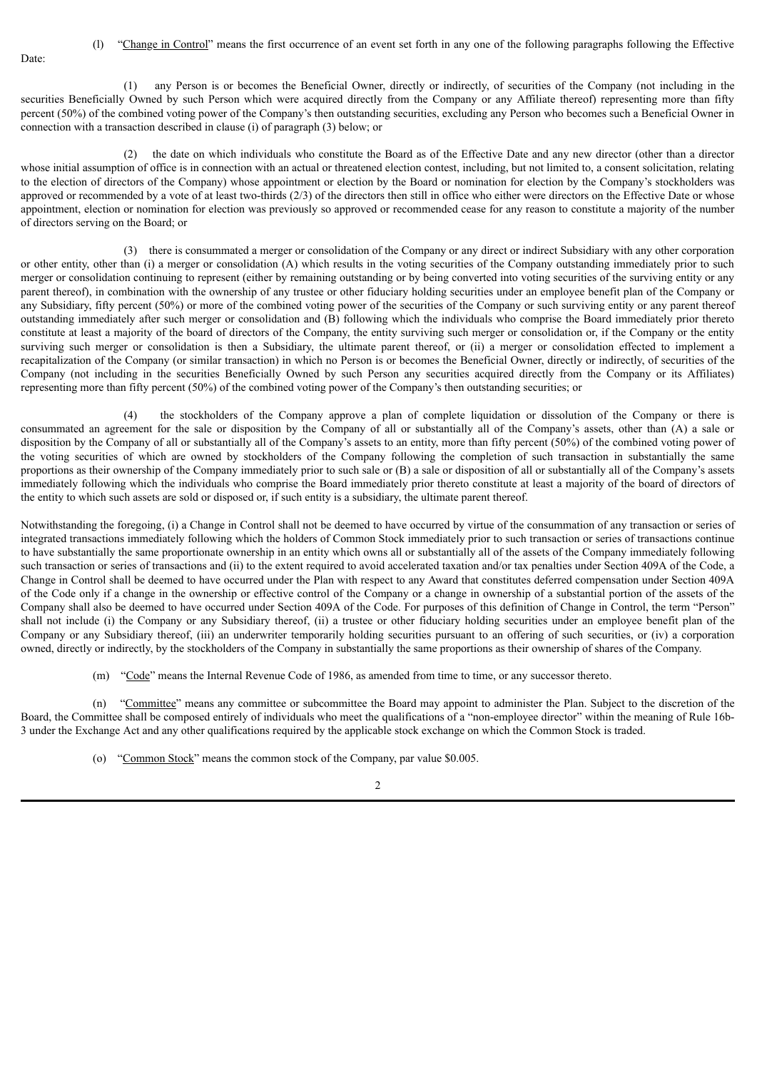(l) "Change in Control" means the first occurrence of an event set forth in any one of the following paragraphs following the Effective

(1) any Person is or becomes the Beneficial Owner, directly or indirectly, of securities of the Company (not including in the securities Beneficially Owned by such Person which were acquired directly from the Company or any Affiliate thereof) representing more than fifty percent (50%) of the combined voting power of the Company's then outstanding securities, excluding any Person who becomes such a Beneficial Owner in connection with a transaction described in clause (i) of paragraph (3) below; or

Date:

(2) the date on which individuals who constitute the Board as of the Effective Date and any new director (other than a director whose initial assumption of office is in connection with an actual or threatened election contest, including, but not limited to, a consent solicitation, relating to the election of directors of the Company) whose appointment or election by the Board or nomination for election by the Company's stockholders was approved or recommended by a vote of at least two-thirds (2/3) of the directors then still in office who either were directors on the Effective Date or whose appointment, election or nomination for election was previously so approved or recommended cease for any reason to constitute a majority of the number of directors serving on the Board; or

(3) there is consummated a merger or consolidation of the Company or any direct or indirect Subsidiary with any other corporation or other entity, other than (i) a merger or consolidation (A) which results in the voting securities of the Company outstanding immediately prior to such merger or consolidation continuing to represent (either by remaining outstanding or by being converted into voting securities of the surviving entity or any parent thereof), in combination with the ownership of any trustee or other fiduciary holding securities under an employee benefit plan of the Company or any Subsidiary, fifty percent (50%) or more of the combined voting power of the securities of the Company or such surviving entity or any parent thereof outstanding immediately after such merger or consolidation and (B) following which the individuals who comprise the Board immediately prior thereto constitute at least a majority of the board of directors of the Company, the entity surviving such merger or consolidation or, if the Company or the entity surviving such merger or consolidation is then a Subsidiary, the ultimate parent thereof, or (ii) a merger or consolidation effected to implement a recapitalization of the Company (or similar transaction) in which no Person is or becomes the Beneficial Owner, directly or indirectly, of securities of the Company (not including in the securities Beneficially Owned by such Person any securities acquired directly from the Company or its Affiliates) representing more than fifty percent (50%) of the combined voting power of the Company's then outstanding securities; or

(4) the stockholders of the Company approve a plan of complete liquidation or dissolution of the Company or there is consummated an agreement for the sale or disposition by the Company of all or substantially all of the Company's assets, other than (A) a sale or disposition by the Company of all or substantially all of the Company's assets to an entity, more than fifty percent (50%) of the combined voting power of the voting securities of which are owned by stockholders of the Company following the completion of such transaction in substantially the same proportions as their ownership of the Company immediately prior to such sale or (B) a sale or disposition of all or substantially all of the Company's assets immediately following which the individuals who comprise the Board immediately prior thereto constitute at least a majority of the board of directors of the entity to which such assets are sold or disposed or, if such entity is a subsidiary, the ultimate parent thereof.

Notwithstanding the foregoing, (i) a Change in Control shall not be deemed to have occurred by virtue of the consummation of any transaction or series of integrated transactions immediately following which the holders of Common Stock immediately prior to such transaction or series of transactions continue to have substantially the same proportionate ownership in an entity which owns all or substantially all of the assets of the Company immediately following such transaction or series of transactions and (ii) to the extent required to avoid accelerated taxation and/or tax penalties under Section 409A of the Code, a Change in Control shall be deemed to have occurred under the Plan with respect to any Award that constitutes deferred compensation under Section 409A of the Code only if a change in the ownership or effective control of the Company or a change in ownership of a substantial portion of the assets of the Company shall also be deemed to have occurred under Section 409A of the Code. For purposes of this definition of Change in Control, the term "Person" shall not include (i) the Company or any Subsidiary thereof, (ii) a trustee or other fiduciary holding securities under an employee benefit plan of the Company or any Subsidiary thereof, (iii) an underwriter temporarily holding securities pursuant to an offering of such securities, or (iv) a corporation owned, directly or indirectly, by the stockholders of the Company in substantially the same proportions as their ownership of shares of the Company.

(m) "Code" means the Internal Revenue Code of 1986, as amended from time to time, or any successor thereto.

(n) "Committee" means any committee or subcommittee the Board may appoint to administer the Plan. Subject to the discretion of the Board, the Committee shall be composed entirely of individuals who meet the qualifications of a "non-employee director" within the meaning of Rule 16b-3 under the Exchange Act and any other qualifications required by the applicable stock exchange on which the Common Stock is traded.

(o) "Common Stock" means the common stock of the Company, par value \$0.005.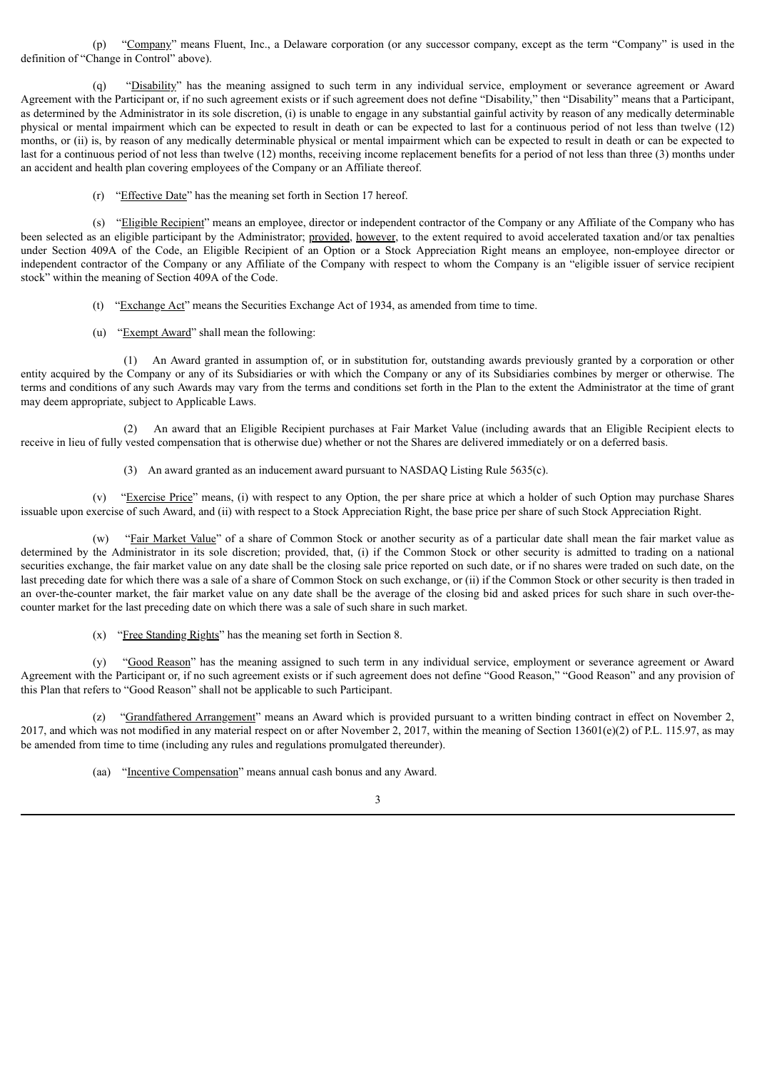(p) "Company" means Fluent, Inc., a Delaware corporation (or any successor company, except as the term "Company" is used in the definition of "Change in Control" above).

(q) "Disability" has the meaning assigned to such term in any individual service, employment or severance agreement or Award Agreement with the Participant or, if no such agreement exists or if such agreement does not define "Disability," then "Disability" means that a Participant, as determined by the Administrator in its sole discretion, (i) is unable to engage in any substantial gainful activity by reason of any medically determinable physical or mental impairment which can be expected to result in death or can be expected to last for a continuous period of not less than twelve (12) months, or (ii) is, by reason of any medically determinable physical or mental impairment which can be expected to result in death or can be expected to last for a continuous period of not less than twelve (12) months, receiving income replacement benefits for a period of not less than three (3) months under an accident and health plan covering employees of the Company or an Affiliate thereof.

(r) "Effective Date" has the meaning set forth in Section 17 hereof.

(s) "Eligible Recipient" means an employee, director or independent contractor of the Company or any Affiliate of the Company who has been selected as an eligible participant by the Administrator; provided, however, to the extent required to avoid accelerated taxation and/or tax penalties under Section 409A of the Code, an Eligible Recipient of an Option or a Stock Appreciation Right means an employee, non-employee director or independent contractor of the Company or any Affiliate of the Company with respect to whom the Company is an "eligible issuer of service recipient stock" within the meaning of Section 409A of the Code.

- (t) "Exchange Act" means the Securities Exchange Act of 1934, as amended from time to time.
- (u) "Exempt Award" shall mean the following:

(1) An Award granted in assumption of, or in substitution for, outstanding awards previously granted by a corporation or other entity acquired by the Company or any of its Subsidiaries or with which the Company or any of its Subsidiaries combines by merger or otherwise. The terms and conditions of any such Awards may vary from the terms and conditions set forth in the Plan to the extent the Administrator at the time of grant may deem appropriate, subject to Applicable Laws.

(2) An award that an Eligible Recipient purchases at Fair Market Value (including awards that an Eligible Recipient elects to receive in lieu of fully vested compensation that is otherwise due) whether or not the Shares are delivered immediately or on a deferred basis.

(3) An award granted as an inducement award pursuant to NASDAQ Listing Rule 5635(c).

(v) "Exercise Price" means, (i) with respect to any Option, the per share price at which a holder of such Option may purchase Shares issuable upon exercise of such Award, and (ii) with respect to a Stock Appreciation Right, the base price per share of such Stock Appreciation Right.

(w) "Fair Market Value" of a share of Common Stock or another security as of a particular date shall mean the fair market value as determined by the Administrator in its sole discretion; provided, that, (i) if the Common Stock or other security is admitted to trading on a national securities exchange, the fair market value on any date shall be the closing sale price reported on such date, or if no shares were traded on such date, on the last preceding date for which there was a sale of a share of Common Stock on such exchange, or (ii) if the Common Stock or other security is then traded in an over-the-counter market, the fair market value on any date shall be the average of the closing bid and asked prices for such share in such over-thecounter market for the last preceding date on which there was a sale of such share in such market.

(x) "Free Standing Rights" has the meaning set forth in Section 8.

(y) "Good Reason" has the meaning assigned to such term in any individual service, employment or severance agreement or Award Agreement with the Participant or, if no such agreement exists or if such agreement does not define "Good Reason," "Good Reason" and any provision of this Plan that refers to "Good Reason" shall not be applicable to such Participant.

(z) "Grandfathered Arrangement" means an Award which is provided pursuant to a written binding contract in effect on November 2, 2017, and which was not modified in any material respect on or after November 2, 2017, within the meaning of Section 13601(e)(2) of P.L. 115.97, as may be amended from time to time (including any rules and regulations promulgated thereunder).

(aa) "Incentive Compensation" means annual cash bonus and any Award.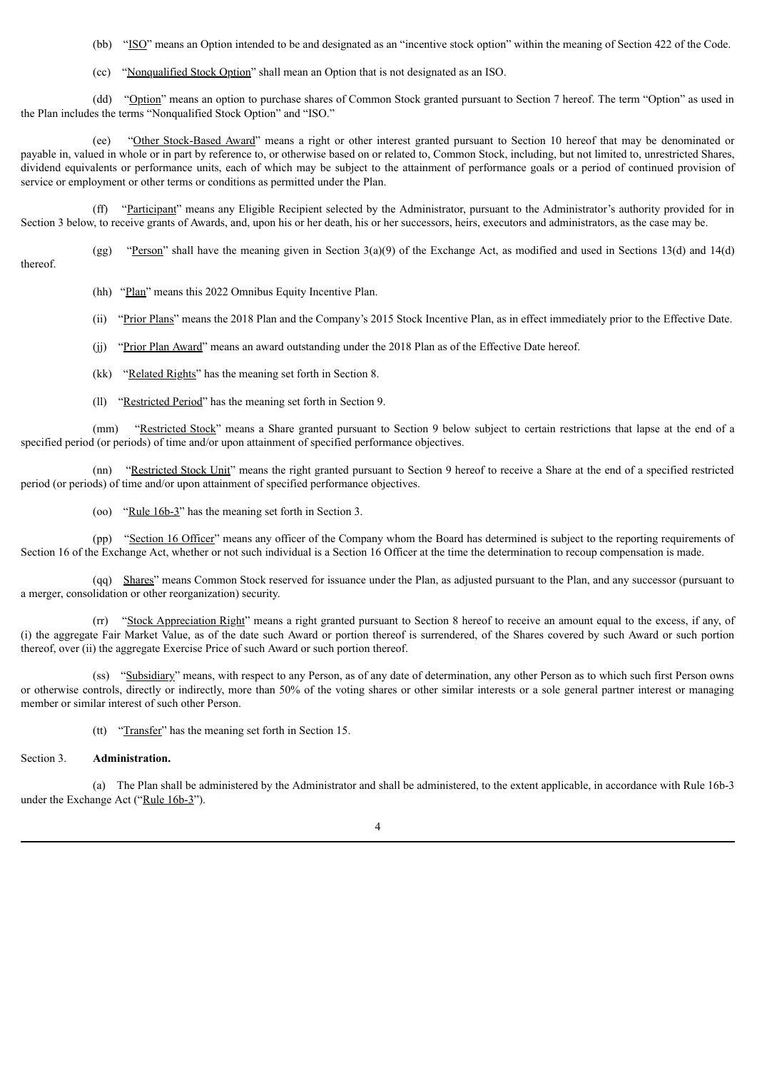(bb) "ISO" means an Option intended to be and designated as an "incentive stock option" within the meaning of Section 422 of the Code.

(cc) "Nonqualified Stock Option" shall mean an Option that is not designated as an ISO.

(dd) "Option" means an option to purchase shares of Common Stock granted pursuant to Section 7 hereof. The term "Option" as used in the Plan includes the terms "Nonqualified Stock Option" and "ISO."

(ee) "Other Stock-Based Award" means a right or other interest granted pursuant to Section 10 hereof that may be denominated or payable in, valued in whole or in part by reference to, or otherwise based on or related to, Common Stock, including, but not limited to, unrestricted Shares, dividend equivalents or performance units, each of which may be subject to the attainment of performance goals or a period of continued provision of service or employment or other terms or conditions as permitted under the Plan.

(ff) "Participant" means any Eligible Recipient selected by the Administrator, pursuant to the Administrator's authority provided for in Section 3 below, to receive grants of Awards, and, upon his or her death, his or her successors, heirs, executors and administrators, as the case may be.

(gg) "Person" shall have the meaning given in Section 3(a)(9) of the Exchange Act, as modified and used in Sections 13(d) and 14(d) thereof.

(hh) "Plan" means this 2022 Omnibus Equity Incentive Plan.

(ii) "Prior Plans" means the 2018 Plan and the Company's 2015 Stock Incentive Plan, as in effect immediately prior to the Effective Date.

- (jj) "Prior Plan Award" means an award outstanding under the 2018 Plan as of the Effective Date hereof.
- (kk) "Related Rights" has the meaning set forth in Section 8.
- (ll) "Restricted Period" has the meaning set forth in Section 9.

(mm) "Restricted Stock" means a Share granted pursuant to Section 9 below subject to certain restrictions that lapse at the end of a specified period (or periods) of time and/or upon attainment of specified performance objectives.

(nn) "Restricted Stock Unit" means the right granted pursuant to Section 9 hereof to receive a Share at the end of a specified restricted period (or periods) of time and/or upon attainment of specified performance objectives.

(oo) "Rule 16b-3" has the meaning set forth in Section 3.

(pp) "Section 16 Officer" means any officer of the Company whom the Board has determined is subject to the reporting requirements of Section 16 of the Exchange Act, whether or not such individual is a Section 16 Officer at the time the determination to recoup compensation is made.

(qq) Shares" means Common Stock reserved for issuance under the Plan, as adjusted pursuant to the Plan, and any successor (pursuant to a merger, consolidation or other reorganization) security.

(rr) "Stock Appreciation Right" means a right granted pursuant to Section 8 hereof to receive an amount equal to the excess, if any, of (i) the aggregate Fair Market Value, as of the date such Award or portion thereof is surrendered, of the Shares covered by such Award or such portion thereof, over (ii) the aggregate Exercise Price of such Award or such portion thereof.

(ss) "Subsidiary" means, with respect to any Person, as of any date of determination, any other Person as to which such first Person owns or otherwise controls, directly or indirectly, more than 50% of the voting shares or other similar interests or a sole general partner interest or managing member or similar interest of such other Person.

(tt) "Transfer" has the meaning set forth in Section 15.

#### Section 3. **Administration.**

(a) The Plan shall be administered by the Administrator and shall be administered, to the extent applicable, in accordance with Rule 16b-3 under the Exchange Act ("Rule 16b-3").

4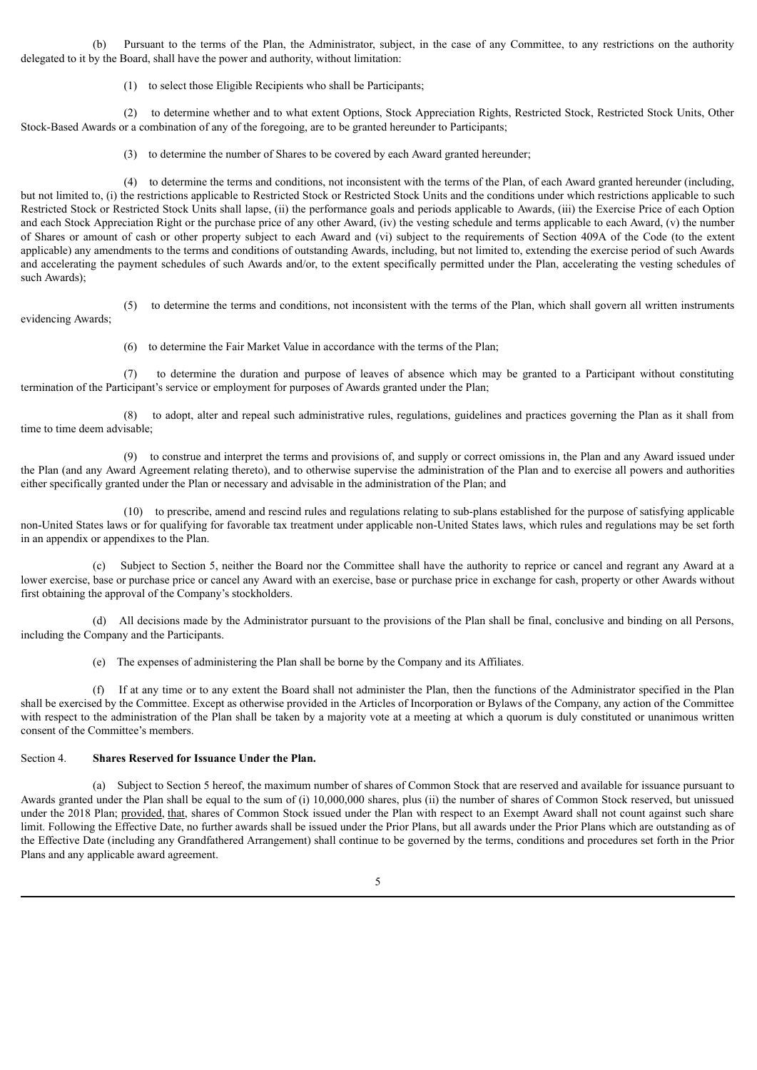(b) Pursuant to the terms of the Plan, the Administrator, subject, in the case of any Committee, to any restrictions on the authority delegated to it by the Board, shall have the power and authority, without limitation:

(1) to select those Eligible Recipients who shall be Participants;

(2) to determine whether and to what extent Options, Stock Appreciation Rights, Restricted Stock, Restricted Stock Units, Other Stock-Based Awards or a combination of any of the foregoing, are to be granted hereunder to Participants;

(3) to determine the number of Shares to be covered by each Award granted hereunder;

(4) to determine the terms and conditions, not inconsistent with the terms of the Plan, of each Award granted hereunder (including, but not limited to, (i) the restrictions applicable to Restricted Stock or Restricted Stock Units and the conditions under which restrictions applicable to such Restricted Stock or Restricted Stock Units shall lapse, (ii) the performance goals and periods applicable to Awards, (iii) the Exercise Price of each Option and each Stock Appreciation Right or the purchase price of any other Award, (iv) the vesting schedule and terms applicable to each Award, (v) the number of Shares or amount of cash or other property subject to each Award and (vi) subject to the requirements of Section 409A of the Code (to the extent applicable) any amendments to the terms and conditions of outstanding Awards, including, but not limited to, extending the exercise period of such Awards and accelerating the payment schedules of such Awards and/or, to the extent specifically permitted under the Plan, accelerating the vesting schedules of such Awards);

(5) to determine the terms and conditions, not inconsistent with the terms of the Plan, which shall govern all written instruments evidencing Awards;

(6) to determine the Fair Market Value in accordance with the terms of the Plan;

(7) to determine the duration and purpose of leaves of absence which may be granted to a Participant without constituting termination of the Participant's service or employment for purposes of Awards granted under the Plan;

(8) to adopt, alter and repeal such administrative rules, regulations, guidelines and practices governing the Plan as it shall from time to time deem advisable;

(9) to construe and interpret the terms and provisions of, and supply or correct omissions in, the Plan and any Award issued under the Plan (and any Award Agreement relating thereto), and to otherwise supervise the administration of the Plan and to exercise all powers and authorities either specifically granted under the Plan or necessary and advisable in the administration of the Plan; and

(10) to prescribe, amend and rescind rules and regulations relating to sub-plans established for the purpose of satisfying applicable non-United States laws or for qualifying for favorable tax treatment under applicable non-United States laws, which rules and regulations may be set forth in an appendix or appendixes to the Plan.

(c) Subject to Section 5, neither the Board nor the Committee shall have the authority to reprice or cancel and regrant any Award at a lower exercise, base or purchase price or cancel any Award with an exercise, base or purchase price in exchange for cash, property or other Awards without first obtaining the approval of the Company's stockholders.

(d) All decisions made by the Administrator pursuant to the provisions of the Plan shall be final, conclusive and binding on all Persons, including the Company and the Participants.

(e) The expenses of administering the Plan shall be borne by the Company and its Affiliates.

(f) If at any time or to any extent the Board shall not administer the Plan, then the functions of the Administrator specified in the Plan shall be exercised by the Committee. Except as otherwise provided in the Articles of Incorporation or Bylaws of the Company, any action of the Committee with respect to the administration of the Plan shall be taken by a majority vote at a meeting at which a quorum is duly constituted or unanimous written consent of the Committee's members.

# Section 4. **Shares Reserved for Issuance Under the Plan.**

(a) Subject to Section 5 hereof, the maximum number of shares of Common Stock that are reserved and available for issuance pursuant to Awards granted under the Plan shall be equal to the sum of (i) 10,000,000 shares, plus (ii) the number of shares of Common Stock reserved, but unissued under the 2018 Plan; provided, that, shares of Common Stock issued under the Plan with respect to an Exempt Award shall not count against such share limit. Following the Effective Date, no further awards shall be issued under the Prior Plans, but all awards under the Prior Plans which are outstanding as of the Effective Date (including any Grandfathered Arrangement) shall continue to be governed by the terms, conditions and procedures set forth in the Prior Plans and any applicable award agreement.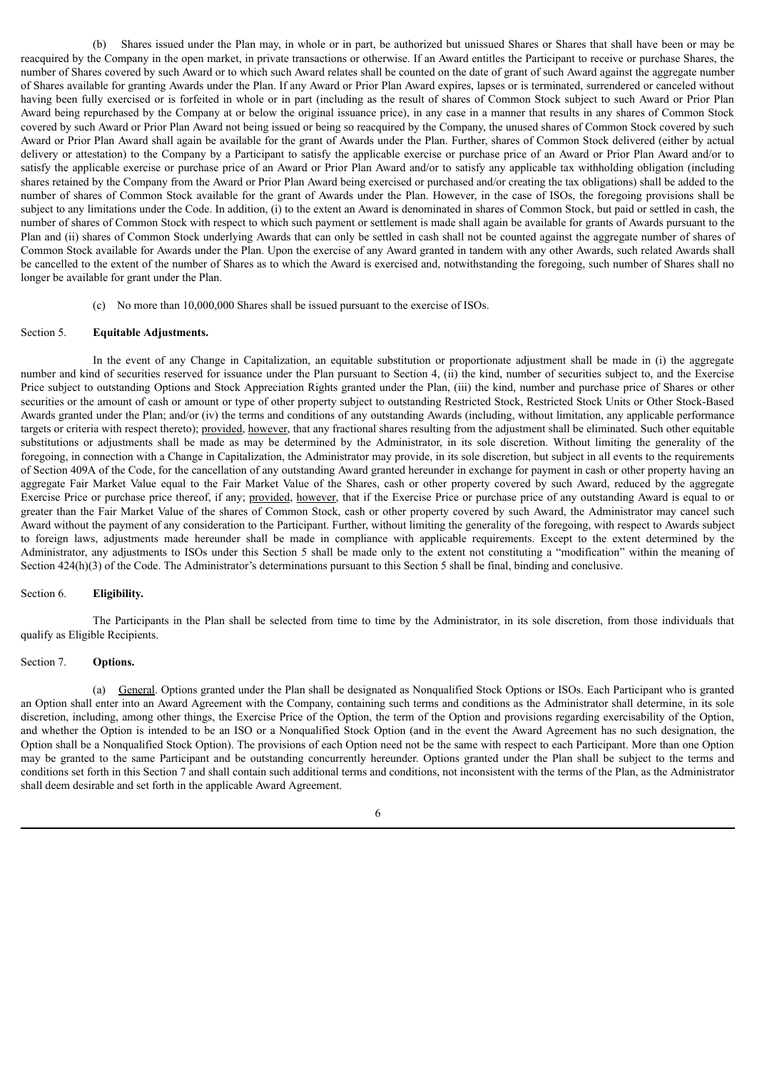(b) Shares issued under the Plan may, in whole or in part, be authorized but unissued Shares or Shares that shall have been or may be reacquired by the Company in the open market, in private transactions or otherwise. If an Award entitles the Participant to receive or purchase Shares, the number of Shares covered by such Award or to which such Award relates shall be counted on the date of grant of such Award against the aggregate number of Shares available for granting Awards under the Plan. If any Award or Prior Plan Award expires, lapses or is terminated, surrendered or canceled without having been fully exercised or is forfeited in whole or in part (including as the result of shares of Common Stock subject to such Award or Prior Plan Award being repurchased by the Company at or below the original issuance price), in any case in a manner that results in any shares of Common Stock covered by such Award or Prior Plan Award not being issued or being so reacquired by the Company, the unused shares of Common Stock covered by such Award or Prior Plan Award shall again be available for the grant of Awards under the Plan. Further, shares of Common Stock delivered (either by actual delivery or attestation) to the Company by a Participant to satisfy the applicable exercise or purchase price of an Award or Prior Plan Award and/or to satisfy the applicable exercise or purchase price of an Award or Prior Plan Award and/or to satisfy any applicable tax withholding obligation (including shares retained by the Company from the Award or Prior Plan Award being exercised or purchased and/or creating the tax obligations) shall be added to the number of shares of Common Stock available for the grant of Awards under the Plan. However, in the case of ISOs, the foregoing provisions shall be subject to any limitations under the Code. In addition, (i) to the extent an Award is denominated in shares of Common Stock, but paid or settled in cash, the number of shares of Common Stock with respect to which such payment or settlement is made shall again be available for grants of Awards pursuant to the Plan and (ii) shares of Common Stock underlying Awards that can only be settled in cash shall not be counted against the aggregate number of shares of Common Stock available for Awards under the Plan. Upon the exercise of any Award granted in tandem with any other Awards, such related Awards shall be cancelled to the extent of the number of Shares as to which the Award is exercised and, notwithstanding the foregoing, such number of Shares shall no longer be available for grant under the Plan.

(c) No more than 10,000,000 Shares shall be issued pursuant to the exercise of ISOs.

#### Section 5. **Equitable Adjustments.**

In the event of any Change in Capitalization, an equitable substitution or proportionate adjustment shall be made in (i) the aggregate number and kind of securities reserved for issuance under the Plan pursuant to Section 4, (ii) the kind, number of securities subject to, and the Exercise Price subject to outstanding Options and Stock Appreciation Rights granted under the Plan, (iii) the kind, number and purchase price of Shares or other securities or the amount of cash or amount or type of other property subject to outstanding Restricted Stock, Restricted Stock Units or Other Stock-Based Awards granted under the Plan; and/or (iv) the terms and conditions of any outstanding Awards (including, without limitation, any applicable performance targets or criteria with respect thereto); provided, however, that any fractional shares resulting from the adjustment shall be eliminated. Such other equitable substitutions or adjustments shall be made as may be determined by the Administrator, in its sole discretion. Without limiting the generality of the foregoing, in connection with a Change in Capitalization, the Administrator may provide, in its sole discretion, but subject in all events to the requirements of Section 409A of the Code, for the cancellation of any outstanding Award granted hereunder in exchange for payment in cash or other property having an aggregate Fair Market Value equal to the Fair Market Value of the Shares, cash or other property covered by such Award, reduced by the aggregate Exercise Price or purchase price thereof, if any; provided, however, that if the Exercise Price or purchase price of any outstanding Award is equal to or greater than the Fair Market Value of the shares of Common Stock, cash or other property covered by such Award, the Administrator may cancel such Award without the payment of any consideration to the Participant. Further, without limiting the generality of the foregoing, with respect to Awards subject to foreign laws, adjustments made hereunder shall be made in compliance with applicable requirements. Except to the extent determined by the Administrator, any adjustments to ISOs under this Section 5 shall be made only to the extent not constituting a "modification" within the meaning of Section 424(h)(3) of the Code. The Administrator's determinations pursuant to this Section 5 shall be final, binding and conclusive.

#### Section 6. **Eligibility.**

The Participants in the Plan shall be selected from time to time by the Administrator, in its sole discretion, from those individuals that qualify as Eligible Recipients.

# Section 7. **Options.**

(a) General. Options granted under the Plan shall be designated as Nonqualified Stock Options or ISOs. Each Participant who is granted an Option shall enter into an Award Agreement with the Company, containing such terms and conditions as the Administrator shall determine, in its sole discretion, including, among other things, the Exercise Price of the Option, the term of the Option and provisions regarding exercisability of the Option, and whether the Option is intended to be an ISO or a Nonqualified Stock Option (and in the event the Award Agreement has no such designation, the Option shall be a Nonqualified Stock Option). The provisions of each Option need not be the same with respect to each Participant. More than one Option may be granted to the same Participant and be outstanding concurrently hereunder. Options granted under the Plan shall be subject to the terms and conditions set forth in this Section 7 and shall contain such additional terms and conditions, not inconsistent with the terms of the Plan, as the Administrator shall deem desirable and set forth in the applicable Award Agreement.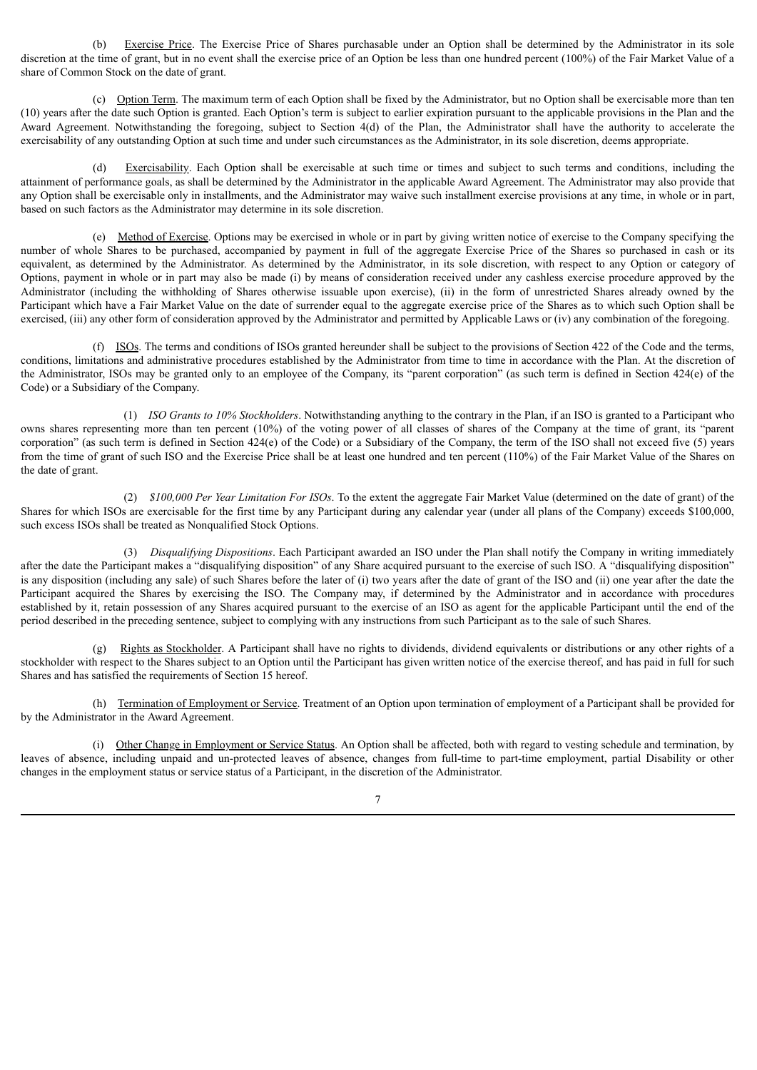(b) Exercise Price. The Exercise Price of Shares purchasable under an Option shall be determined by the Administrator in its sole discretion at the time of grant, but in no event shall the exercise price of an Option be less than one hundred percent (100%) of the Fair Market Value of a share of Common Stock on the date of grant.

(c) Option Term. The maximum term of each Option shall be fixed by the Administrator, but no Option shall be exercisable more than ten (10) years after the date such Option is granted. Each Option's term is subject to earlier expiration pursuant to the applicable provisions in the Plan and the Award Agreement. Notwithstanding the foregoing, subject to Section 4(d) of the Plan, the Administrator shall have the authority to accelerate the exercisability of any outstanding Option at such time and under such circumstances as the Administrator, in its sole discretion, deems appropriate.

Exercisability. Each Option shall be exercisable at such time or times and subject to such terms and conditions, including the attainment of performance goals, as shall be determined by the Administrator in the applicable Award Agreement. The Administrator may also provide that any Option shall be exercisable only in installments, and the Administrator may waive such installment exercise provisions at any time, in whole or in part, based on such factors as the Administrator may determine in its sole discretion.

(e) Method of Exercise. Options may be exercised in whole or in part by giving written notice of exercise to the Company specifying the number of whole Shares to be purchased, accompanied by payment in full of the aggregate Exercise Price of the Shares so purchased in cash or its equivalent, as determined by the Administrator. As determined by the Administrator, in its sole discretion, with respect to any Option or category of Options, payment in whole or in part may also be made (i) by means of consideration received under any cashless exercise procedure approved by the Administrator (including the withholding of Shares otherwise issuable upon exercise), (ii) in the form of unrestricted Shares already owned by the Participant which have a Fair Market Value on the date of surrender equal to the aggregate exercise price of the Shares as to which such Option shall be exercised, (iii) any other form of consideration approved by the Administrator and permitted by Applicable Laws or (iv) any combination of the foregoing.

(f) ISOs. The terms and conditions of ISOs granted hereunder shall be subject to the provisions of Section 422 of the Code and the terms, conditions, limitations and administrative procedures established by the Administrator from time to time in accordance with the Plan. At the discretion of the Administrator, ISOs may be granted only to an employee of the Company, its "parent corporation" (as such term is defined in Section 424(e) of the Code) or a Subsidiary of the Company.

(1) *ISO Grants to 10% Stockholders*. Notwithstanding anything to the contrary in the Plan, if an ISO is granted to a Participant who owns shares representing more than ten percent (10%) of the voting power of all classes of shares of the Company at the time of grant, its "parent corporation" (as such term is defined in Section 424(e) of the Code) or a Subsidiary of the Company, the term of the ISO shall not exceed five (5) years from the time of grant of such ISO and the Exercise Price shall be at least one hundred and ten percent (110%) of the Fair Market Value of the Shares on the date of grant.

(2) *\$100,000 Per Year Limitation For ISOs*. To the extent the aggregate Fair Market Value (determined on the date of grant) of the Shares for which ISOs are exercisable for the first time by any Participant during any calendar year (under all plans of the Company) exceeds \$100,000, such excess ISOs shall be treated as Nonqualified Stock Options.

(3) *Disqualifying Dispositions*. Each Participant awarded an ISO under the Plan shall notify the Company in writing immediately after the date the Participant makes a "disqualifying disposition" of any Share acquired pursuant to the exercise of such ISO. A "disqualifying disposition" is any disposition (including any sale) of such Shares before the later of (i) two years after the date of grant of the ISO and (ii) one year after the date the Participant acquired the Shares by exercising the ISO. The Company may, if determined by the Administrator and in accordance with procedures established by it, retain possession of any Shares acquired pursuant to the exercise of an ISO as agent for the applicable Participant until the end of the period described in the preceding sentence, subject to complying with any instructions from such Participant as to the sale of such Shares.

(g) Rights as Stockholder. A Participant shall have no rights to dividends, dividend equivalents or distributions or any other rights of a stockholder with respect to the Shares subject to an Option until the Participant has given written notice of the exercise thereof, and has paid in full for such Shares and has satisfied the requirements of Section 15 hereof.

(h) Termination of Employment or Service. Treatment of an Option upon termination of employment of a Participant shall be provided for by the Administrator in the Award Agreement.

(i) Other Change in Employment or Service Status. An Option shall be affected, both with regard to vesting schedule and termination, by leaves of absence, including unpaid and un-protected leaves of absence, changes from full-time to part-time employment, partial Disability or other changes in the employment status or service status of a Participant, in the discretion of the Administrator.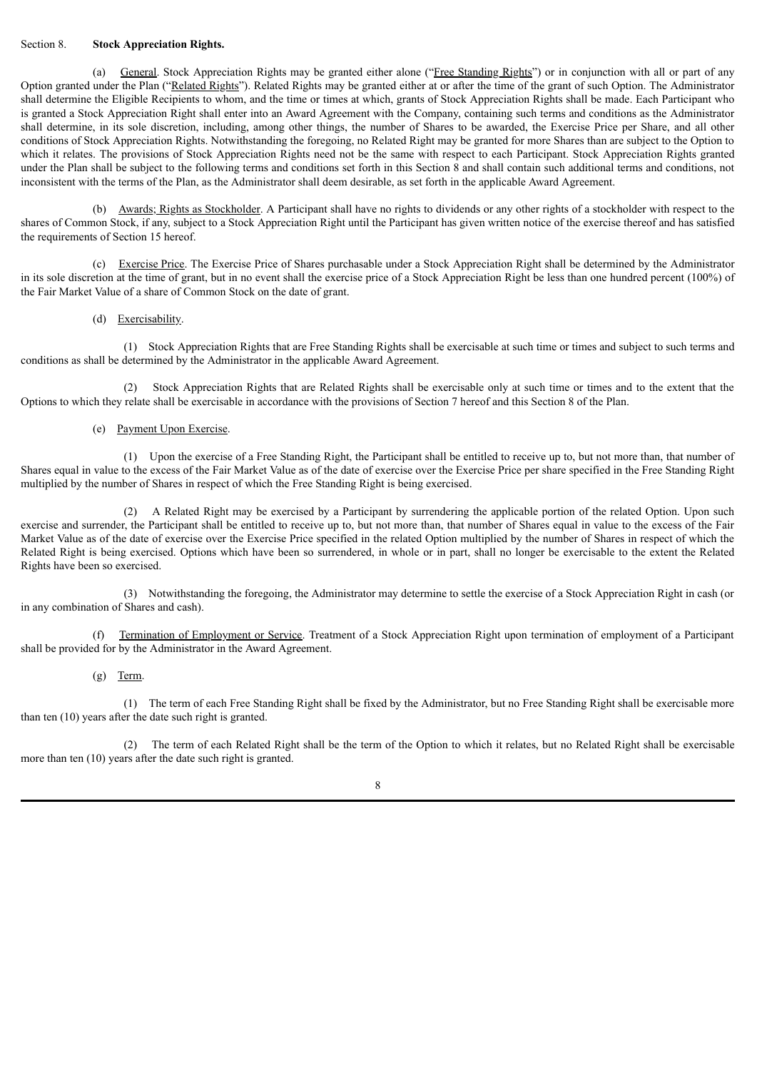#### Section 8. **Stock Appreciation Rights.**

(a) General. Stock Appreciation Rights may be granted either alone ("Free Standing Rights") or in conjunction with all or part of any Option granted under the Plan ("Related Rights"). Related Rights may be granted either at or after the time of the grant of such Option. The Administrator shall determine the Eligible Recipients to whom, and the time or times at which, grants of Stock Appreciation Rights shall be made. Each Participant who is granted a Stock Appreciation Right shall enter into an Award Agreement with the Company, containing such terms and conditions as the Administrator shall determine, in its sole discretion, including, among other things, the number of Shares to be awarded, the Exercise Price per Share, and all other conditions of Stock Appreciation Rights. Notwithstanding the foregoing, no Related Right may be granted for more Shares than are subject to the Option to which it relates. The provisions of Stock Appreciation Rights need not be the same with respect to each Participant. Stock Appreciation Rights granted under the Plan shall be subject to the following terms and conditions set forth in this Section 8 and shall contain such additional terms and conditions, not inconsistent with the terms of the Plan, as the Administrator shall deem desirable, as set forth in the applicable Award Agreement.

(b) Awards; Rights as Stockholder. A Participant shall have no rights to dividends or any other rights of a stockholder with respect to the shares of Common Stock, if any, subject to a Stock Appreciation Right until the Participant has given written notice of the exercise thereof and has satisfied the requirements of Section 15 hereof.

(c) Exercise Price. The Exercise Price of Shares purchasable under a Stock Appreciation Right shall be determined by the Administrator in its sole discretion at the time of grant, but in no event shall the exercise price of a Stock Appreciation Right be less than one hundred percent (100%) of the Fair Market Value of a share of Common Stock on the date of grant.

# (d) Exercisability.

(1) Stock Appreciation Rights that are Free Standing Rights shall be exercisable at such time or times and subject to such terms and conditions as shall be determined by the Administrator in the applicable Award Agreement.

(2) Stock Appreciation Rights that are Related Rights shall be exercisable only at such time or times and to the extent that the Options to which they relate shall be exercisable in accordance with the provisions of Section 7 hereof and this Section 8 of the Plan.

# (e) Payment Upon Exercise.

(1) Upon the exercise of a Free Standing Right, the Participant shall be entitled to receive up to, but not more than, that number of Shares equal in value to the excess of the Fair Market Value as of the date of exercise over the Exercise Price per share specified in the Free Standing Right multiplied by the number of Shares in respect of which the Free Standing Right is being exercised.

(2) A Related Right may be exercised by a Participant by surrendering the applicable portion of the related Option. Upon such exercise and surrender, the Participant shall be entitled to receive up to, but not more than, that number of Shares equal in value to the excess of the Fair Market Value as of the date of exercise over the Exercise Price specified in the related Option multiplied by the number of Shares in respect of which the Related Right is being exercised. Options which have been so surrendered, in whole or in part, shall no longer be exercisable to the extent the Related Rights have been so exercised.

(3) Notwithstanding the foregoing, the Administrator may determine to settle the exercise of a Stock Appreciation Right in cash (or in any combination of Shares and cash).

(f) Termination of Employment or Service. Treatment of a Stock Appreciation Right upon termination of employment of a Participant shall be provided for by the Administrator in the Award Agreement.

#### (g) Term.

(1) The term of each Free Standing Right shall be fixed by the Administrator, but no Free Standing Right shall be exercisable more than ten (10) years after the date such right is granted.

(2) The term of each Related Right shall be the term of the Option to which it relates, but no Related Right shall be exercisable more than ten (10) years after the date such right is granted.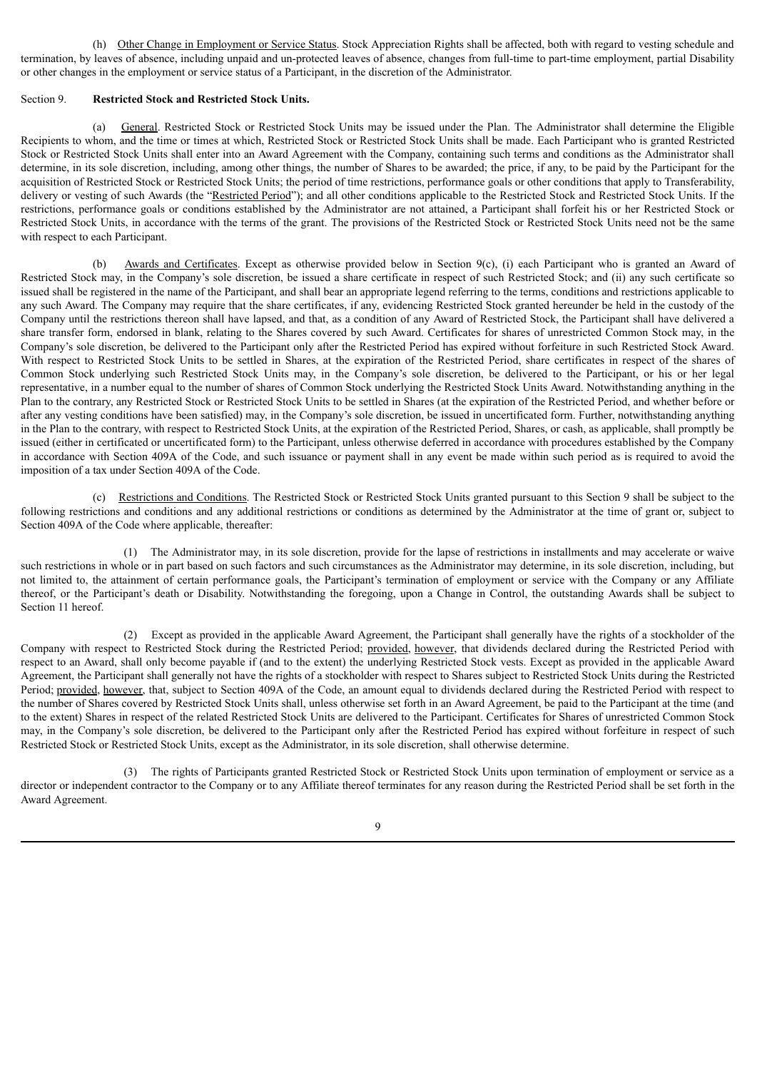(h) Other Change in Employment or Service Status. Stock Appreciation Rights shall be affected, both with regard to vesting schedule and termination, by leaves of absence, including unpaid and un-protected leaves of absence, changes from full-time to part-time employment, partial Disability or other changes in the employment or service status of a Participant, in the discretion of the Administrator.

#### Section 9. **Restricted Stock and Restricted Stock Units.**

(a) General. Restricted Stock or Restricted Stock Units may be issued under the Plan. The Administrator shall determine the Eligible Recipients to whom, and the time or times at which, Restricted Stock or Restricted Stock Units shall be made. Each Participant who is granted Restricted Stock or Restricted Stock Units shall enter into an Award Agreement with the Company, containing such terms and conditions as the Administrator shall determine, in its sole discretion, including, among other things, the number of Shares to be awarded; the price, if any, to be paid by the Participant for the acquisition of Restricted Stock or Restricted Stock Units; the period of time restrictions, performance goals or other conditions that apply to Transferability, delivery or vesting of such Awards (the "Restricted Period"); and all other conditions applicable to the Restricted Stock and Restricted Stock Units. If the restrictions, performance goals or conditions established by the Administrator are not attained, a Participant shall forfeit his or her Restricted Stock or Restricted Stock Units, in accordance with the terms of the grant. The provisions of the Restricted Stock or Restricted Stock Units need not be the same with respect to each Participant.

(b) Awards and Certificates. Except as otherwise provided below in Section 9(c), (i) each Participant who is granted an Award of Restricted Stock may, in the Company's sole discretion, be issued a share certificate in respect of such Restricted Stock; and (ii) any such certificate so issued shall be registered in the name of the Participant, and shall bear an appropriate legend referring to the terms, conditions and restrictions applicable to any such Award. The Company may require that the share certificates, if any, evidencing Restricted Stock granted hereunder be held in the custody of the Company until the restrictions thereon shall have lapsed, and that, as a condition of any Award of Restricted Stock, the Participant shall have delivered a share transfer form, endorsed in blank, relating to the Shares covered by such Award. Certificates for shares of unrestricted Common Stock may, in the Company's sole discretion, be delivered to the Participant only after the Restricted Period has expired without forfeiture in such Restricted Stock Award. With respect to Restricted Stock Units to be settled in Shares, at the expiration of the Restricted Period, share certificates in respect of the shares of Common Stock underlying such Restricted Stock Units may, in the Company's sole discretion, be delivered to the Participant, or his or her legal representative, in a number equal to the number of shares of Common Stock underlying the Restricted Stock Units Award. Notwithstanding anything in the Plan to the contrary, any Restricted Stock or Restricted Stock Units to be settled in Shares (at the expiration of the Restricted Period, and whether before or after any vesting conditions have been satisfied) may, in the Company's sole discretion, be issued in uncertificated form. Further, notwithstanding anything in the Plan to the contrary, with respect to Restricted Stock Units, at the expiration of the Restricted Period, Shares, or cash, as applicable, shall promptly be issued (either in certificated or uncertificated form) to the Participant, unless otherwise deferred in accordance with procedures established by the Company in accordance with Section 409A of the Code, and such issuance or payment shall in any event be made within such period as is required to avoid the imposition of a tax under Section 409A of the Code.

(c) Restrictions and Conditions. The Restricted Stock or Restricted Stock Units granted pursuant to this Section 9 shall be subject to the following restrictions and conditions and any additional restrictions or conditions as determined by the Administrator at the time of grant or, subject to Section 409A of the Code where applicable, thereafter:

(1) The Administrator may, in its sole discretion, provide for the lapse of restrictions in installments and may accelerate or waive such restrictions in whole or in part based on such factors and such circumstances as the Administrator may determine, in its sole discretion, including, but not limited to, the attainment of certain performance goals, the Participant's termination of employment or service with the Company or any Affiliate thereof, or the Participant's death or Disability. Notwithstanding the foregoing, upon a Change in Control, the outstanding Awards shall be subject to Section 11 hereof.

(2) Except as provided in the applicable Award Agreement, the Participant shall generally have the rights of a stockholder of the Company with respect to Restricted Stock during the Restricted Period; provided, however, that dividends declared during the Restricted Period with respect to an Award, shall only become payable if (and to the extent) the underlying Restricted Stock vests. Except as provided in the applicable Award Agreement, the Participant shall generally not have the rights of a stockholder with respect to Shares subject to Restricted Stock Units during the Restricted Period; provided, however, that, subject to Section 409A of the Code, an amount equal to dividends declared during the Restricted Period with respect to the number of Shares covered by Restricted Stock Units shall, unless otherwise set forth in an Award Agreement, be paid to the Participant at the time (and to the extent) Shares in respect of the related Restricted Stock Units are delivered to the Participant. Certificates for Shares of unrestricted Common Stock may, in the Company's sole discretion, be delivered to the Participant only after the Restricted Period has expired without forfeiture in respect of such Restricted Stock or Restricted Stock Units, except as the Administrator, in its sole discretion, shall otherwise determine.

(3) The rights of Participants granted Restricted Stock or Restricted Stock Units upon termination of employment or service as a director or independent contractor to the Company or to any Affiliate thereof terminates for any reason during the Restricted Period shall be set forth in the Award Agreement.

9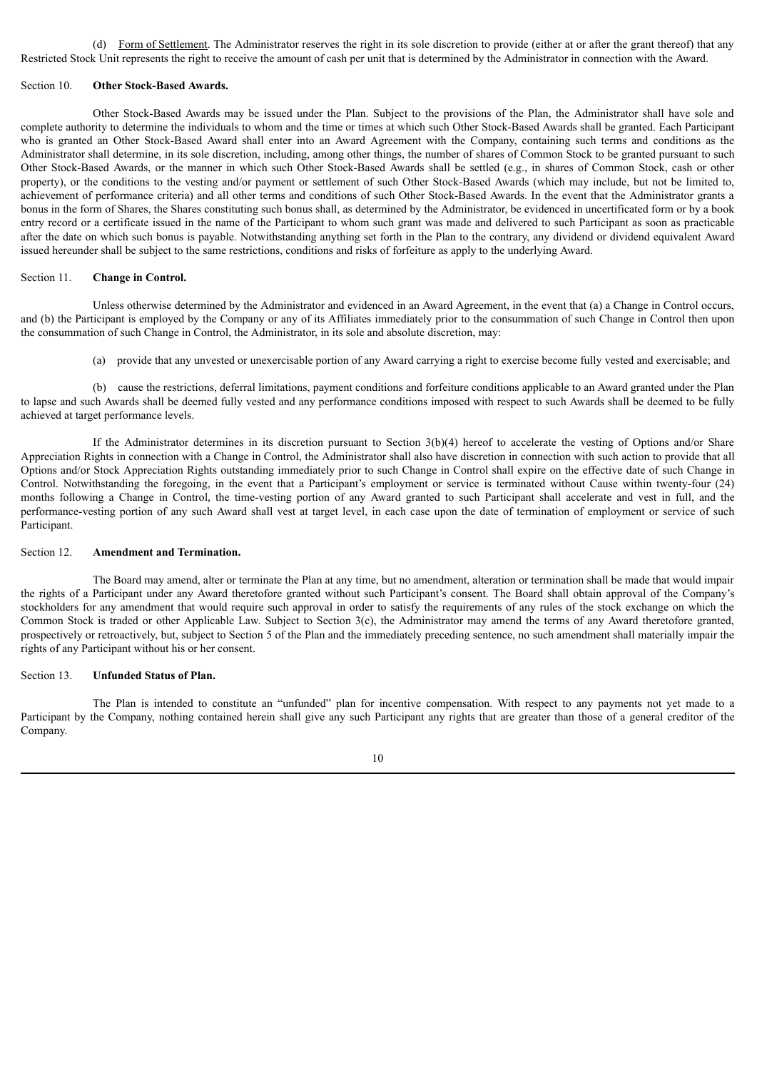(d) Form of Settlement. The Administrator reserves the right in its sole discretion to provide (either at or after the grant thereof) that any Restricted Stock Unit represents the right to receive the amount of cash per unit that is determined by the Administrator in connection with the Award.

#### Section 10. **Other Stock-Based Awards.**

Other Stock-Based Awards may be issued under the Plan. Subject to the provisions of the Plan, the Administrator shall have sole and complete authority to determine the individuals to whom and the time or times at which such Other Stock-Based Awards shall be granted. Each Participant who is granted an Other Stock-Based Award shall enter into an Award Agreement with the Company, containing such terms and conditions as the Administrator shall determine, in its sole discretion, including, among other things, the number of shares of Common Stock to be granted pursuant to such Other Stock-Based Awards, or the manner in which such Other Stock-Based Awards shall be settled (e.g., in shares of Common Stock, cash or other property), or the conditions to the vesting and/or payment or settlement of such Other Stock-Based Awards (which may include, but not be limited to, achievement of performance criteria) and all other terms and conditions of such Other Stock-Based Awards. In the event that the Administrator grants a bonus in the form of Shares, the Shares constituting such bonus shall, as determined by the Administrator, be evidenced in uncertificated form or by a book entry record or a certificate issued in the name of the Participant to whom such grant was made and delivered to such Participant as soon as practicable after the date on which such bonus is payable. Notwithstanding anything set forth in the Plan to the contrary, any dividend or dividend equivalent Award issued hereunder shall be subject to the same restrictions, conditions and risks of forfeiture as apply to the underlying Award.

#### Section 11. **Change in Control.**

Unless otherwise determined by the Administrator and evidenced in an Award Agreement, in the event that (a) a Change in Control occurs, and (b) the Participant is employed by the Company or any of its Affiliates immediately prior to the consummation of such Change in Control then upon the consummation of such Change in Control, the Administrator, in its sole and absolute discretion, may:

(a) provide that any unvested or unexercisable portion of any Award carrying a right to exercise become fully vested and exercisable; and

(b) cause the restrictions, deferral limitations, payment conditions and forfeiture conditions applicable to an Award granted under the Plan to lapse and such Awards shall be deemed fully vested and any performance conditions imposed with respect to such Awards shall be deemed to be fully achieved at target performance levels.

If the Administrator determines in its discretion pursuant to Section 3(b)(4) hereof to accelerate the vesting of Options and/or Share Appreciation Rights in connection with a Change in Control, the Administrator shall also have discretion in connection with such action to provide that all Options and/or Stock Appreciation Rights outstanding immediately prior to such Change in Control shall expire on the effective date of such Change in Control. Notwithstanding the foregoing, in the event that a Participant's employment or service is terminated without Cause within twenty-four (24) months following a Change in Control, the time-vesting portion of any Award granted to such Participant shall accelerate and vest in full, and the performance-vesting portion of any such Award shall vest at target level, in each case upon the date of termination of employment or service of such Participant.

#### Section 12. **Amendment and Termination.**

The Board may amend, alter or terminate the Plan at any time, but no amendment, alteration or termination shall be made that would impair the rights of a Participant under any Award theretofore granted without such Participant's consent. The Board shall obtain approval of the Company's stockholders for any amendment that would require such approval in order to satisfy the requirements of any rules of the stock exchange on which the Common Stock is traded or other Applicable Law. Subject to Section 3(c), the Administrator may amend the terms of any Award theretofore granted, prospectively or retroactively, but, subject to Section 5 of the Plan and the immediately preceding sentence, no such amendment shall materially impair the rights of any Participant without his or her consent.

## Section 13. **Unfunded Status of Plan.**

The Plan is intended to constitute an "unfunded" plan for incentive compensation. With respect to any payments not yet made to a Participant by the Company, nothing contained herein shall give any such Participant any rights that are greater than those of a general creditor of the Company.

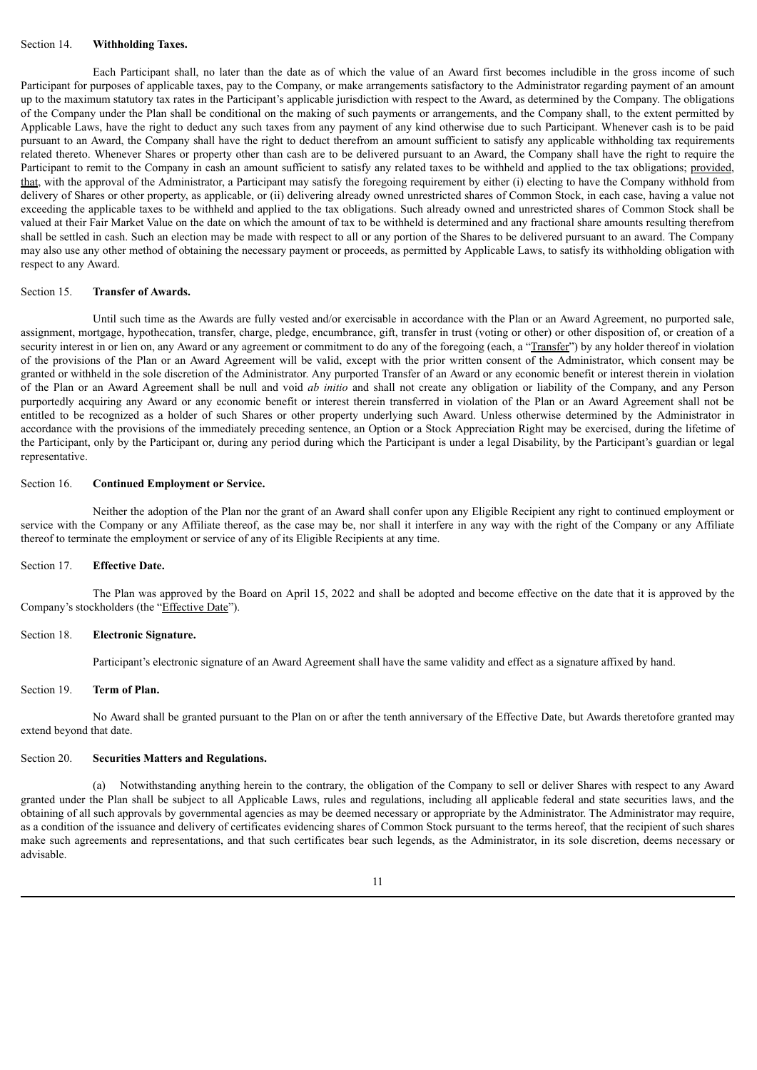#### Section 14. **Withholding Taxes.**

Each Participant shall, no later than the date as of which the value of an Award first becomes includible in the gross income of such Participant for purposes of applicable taxes, pay to the Company, or make arrangements satisfactory to the Administrator regarding payment of an amount up to the maximum statutory tax rates in the Participant's applicable jurisdiction with respect to the Award, as determined by the Company. The obligations of the Company under the Plan shall be conditional on the making of such payments or arrangements, and the Company shall, to the extent permitted by Applicable Laws, have the right to deduct any such taxes from any payment of any kind otherwise due to such Participant. Whenever cash is to be paid pursuant to an Award, the Company shall have the right to deduct therefrom an amount sufficient to satisfy any applicable withholding tax requirements related thereto. Whenever Shares or property other than cash are to be delivered pursuant to an Award, the Company shall have the right to require the Participant to remit to the Company in cash an amount sufficient to satisfy any related taxes to be withheld and applied to the tax obligations; provided, that, with the approval of the Administrator, a Participant may satisfy the foregoing requirement by either (i) electing to have the Company withhold from delivery of Shares or other property, as applicable, or (ii) delivering already owned unrestricted shares of Common Stock, in each case, having a value not exceeding the applicable taxes to be withheld and applied to the tax obligations. Such already owned and unrestricted shares of Common Stock shall be valued at their Fair Market Value on the date on which the amount of tax to be withheld is determined and any fractional share amounts resulting therefrom shall be settled in cash. Such an election may be made with respect to all or any portion of the Shares to be delivered pursuant to an award. The Company may also use any other method of obtaining the necessary payment or proceeds, as permitted by Applicable Laws, to satisfy its withholding obligation with respect to any Award.

#### Section 15. **Transfer of Awards.**

Until such time as the Awards are fully vested and/or exercisable in accordance with the Plan or an Award Agreement, no purported sale, assignment, mortgage, hypothecation, transfer, charge, pledge, encumbrance, gift, transfer in trust (voting or other) or other disposition of, or creation of a security interest in or lien on, any Award or any agreement or commitment to do any of the foregoing (each, a "Transfer") by any holder thereof in violation of the provisions of the Plan or an Award Agreement will be valid, except with the prior written consent of the Administrator, which consent may be granted or withheld in the sole discretion of the Administrator. Any purported Transfer of an Award or any economic benefit or interest therein in violation of the Plan or an Award Agreement shall be null and void *ab initio* and shall not create any obligation or liability of the Company, and any Person purportedly acquiring any Award or any economic benefit or interest therein transferred in violation of the Plan or an Award Agreement shall not be entitled to be recognized as a holder of such Shares or other property underlying such Award. Unless otherwise determined by the Administrator in accordance with the provisions of the immediately preceding sentence, an Option or a Stock Appreciation Right may be exercised, during the lifetime of the Participant, only by the Participant or, during any period during which the Participant is under a legal Disability, by the Participant's guardian or legal representative.

#### Section 16. **Continued Employment or Service.**

Neither the adoption of the Plan nor the grant of an Award shall confer upon any Eligible Recipient any right to continued employment or service with the Company or any Affiliate thereof, as the case may be, nor shall it interfere in any way with the right of the Company or any Affiliate thereof to terminate the employment or service of any of its Eligible Recipients at any time.

#### Section 17. **Effective Date.**

The Plan was approved by the Board on April 15, 2022 and shall be adopted and become effective on the date that it is approved by the Company's stockholders (the "Effective Date").

#### Section 18. **Electronic Signature.**

Participant's electronic signature of an Award Agreement shall have the same validity and effect as a signature affixed by hand.

#### Section 19. **Term of Plan.**

No Award shall be granted pursuant to the Plan on or after the tenth anniversary of the Effective Date, but Awards theretofore granted may extend beyond that date.

#### Section 20. **Securities Matters and Regulations.**

(a) Notwithstanding anything herein to the contrary, the obligation of the Company to sell or deliver Shares with respect to any Award granted under the Plan shall be subject to all Applicable Laws, rules and regulations, including all applicable federal and state securities laws, and the obtaining of all such approvals by governmental agencies as may be deemed necessary or appropriate by the Administrator. The Administrator may require, as a condition of the issuance and delivery of certificates evidencing shares of Common Stock pursuant to the terms hereof, that the recipient of such shares make such agreements and representations, and that such certificates bear such legends, as the Administrator, in its sole discretion, deems necessary or advisable.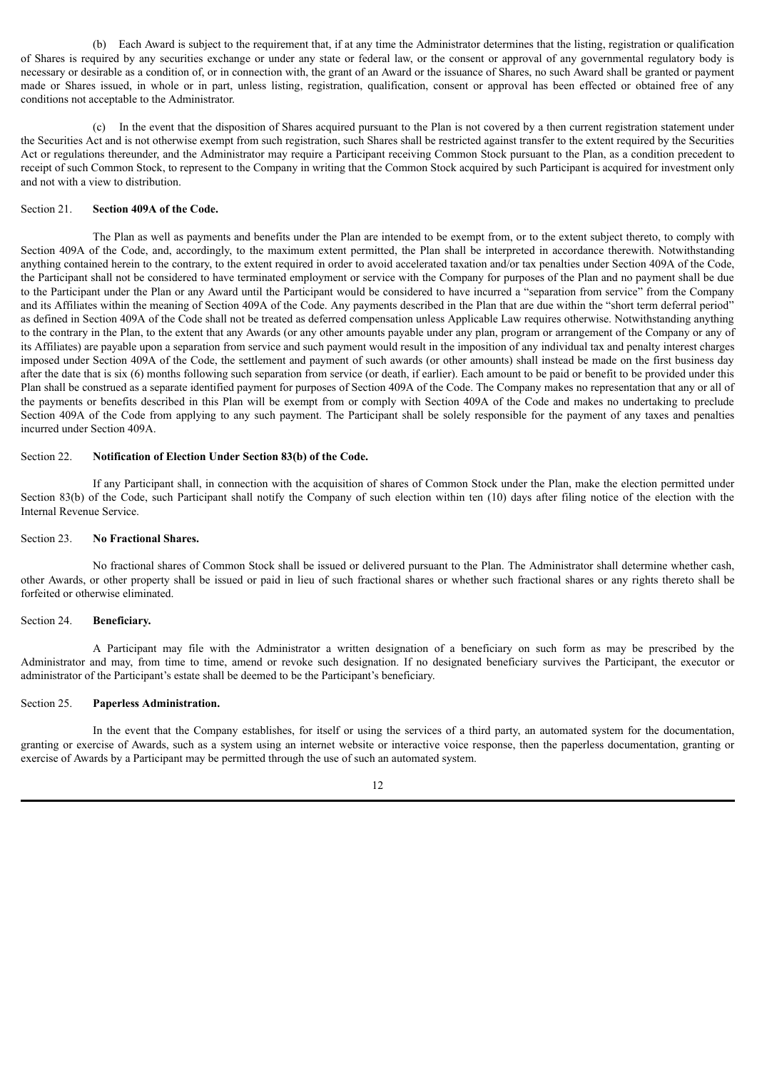(b) Each Award is subject to the requirement that, if at any time the Administrator determines that the listing, registration or qualification of Shares is required by any securities exchange or under any state or federal law, or the consent or approval of any governmental regulatory body is necessary or desirable as a condition of, or in connection with, the grant of an Award or the issuance of Shares, no such Award shall be granted or payment made or Shares issued, in whole or in part, unless listing, registration, qualification, consent or approval has been effected or obtained free of any conditions not acceptable to the Administrator.

(c) In the event that the disposition of Shares acquired pursuant to the Plan is not covered by a then current registration statement under the Securities Act and is not otherwise exempt from such registration, such Shares shall be restricted against transfer to the extent required by the Securities Act or regulations thereunder, and the Administrator may require a Participant receiving Common Stock pursuant to the Plan, as a condition precedent to receipt of such Common Stock, to represent to the Company in writing that the Common Stock acquired by such Participant is acquired for investment only and not with a view to distribution.

#### Section 21. **Section 409A of the Code.**

The Plan as well as payments and benefits under the Plan are intended to be exempt from, or to the extent subject thereto, to comply with Section 409A of the Code, and, accordingly, to the maximum extent permitted, the Plan shall be interpreted in accordance therewith. Notwithstanding anything contained herein to the contrary, to the extent required in order to avoid accelerated taxation and/or tax penalties under Section 409A of the Code, the Participant shall not be considered to have terminated employment or service with the Company for purposes of the Plan and no payment shall be due to the Participant under the Plan or any Award until the Participant would be considered to have incurred a "separation from service" from the Company and its Affiliates within the meaning of Section 409A of the Code. Any payments described in the Plan that are due within the "short term deferral period" as defined in Section 409A of the Code shall not be treated as deferred compensation unless Applicable Law requires otherwise. Notwithstanding anything to the contrary in the Plan, to the extent that any Awards (or any other amounts payable under any plan, program or arrangement of the Company or any of its Affiliates) are payable upon a separation from service and such payment would result in the imposition of any individual tax and penalty interest charges imposed under Section 409A of the Code, the settlement and payment of such awards (or other amounts) shall instead be made on the first business day after the date that is six (6) months following such separation from service (or death, if earlier). Each amount to be paid or benefit to be provided under this Plan shall be construed as a separate identified payment for purposes of Section 409A of the Code. The Company makes no representation that any or all of the payments or benefits described in this Plan will be exempt from or comply with Section 409A of the Code and makes no undertaking to preclude Section 409A of the Code from applying to any such payment. The Participant shall be solely responsible for the payment of any taxes and penalties incurred under Section 409A.

#### Section 22. **Notification of Election Under Section 83(b) of the Code.**

If any Participant shall, in connection with the acquisition of shares of Common Stock under the Plan, make the election permitted under Section 83(b) of the Code, such Participant shall notify the Company of such election within ten (10) days after filing notice of the election with the Internal Revenue Service.

#### Section 23. **No Fractional Shares.**

No fractional shares of Common Stock shall be issued or delivered pursuant to the Plan. The Administrator shall determine whether cash, other Awards, or other property shall be issued or paid in lieu of such fractional shares or whether such fractional shares or any rights thereto shall be forfeited or otherwise eliminated.

# Section 24. **Beneficiary.**

A Participant may file with the Administrator a written designation of a beneficiary on such form as may be prescribed by the Administrator and may, from time to time, amend or revoke such designation. If no designated beneficiary survives the Participant, the executor or administrator of the Participant's estate shall be deemed to be the Participant's beneficiary.

## Section 25. **Paperless Administration.**

In the event that the Company establishes, for itself or using the services of a third party, an automated system for the documentation, granting or exercise of Awards, such as a system using an internet website or interactive voice response, then the paperless documentation, granting or exercise of Awards by a Participant may be permitted through the use of such an automated system.